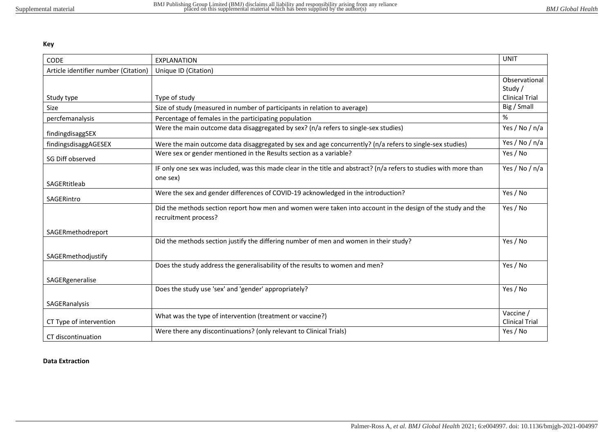**Key**

| <b>CODE</b>                          | <b>EXPLANATION</b>                                                                                                                  | <b>UNIT</b>                        |
|--------------------------------------|-------------------------------------------------------------------------------------------------------------------------------------|------------------------------------|
| Article identifier number (Citation) | Unique ID (Citation)                                                                                                                |                                    |
|                                      |                                                                                                                                     | Observational<br>Study /           |
| Study type                           | Type of study                                                                                                                       | <b>Clinical Trial</b>              |
| Size                                 | Size of study (measured in number of participants in relation to average)                                                           | Big / Small                        |
| percfemanalysis                      | Percentage of females in the participating population                                                                               | %                                  |
| findingdisaggSEX                     | Were the main outcome data disaggregated by sex? (n/a refers to single-sex studies)                                                 | Yes / No / n/a                     |
| findingsdisaggAGESEX                 | Were the main outcome data disaggregated by sex and age concurrently? (n/a refers to single-sex studies)                            | Yes / No / n/a                     |
| SG Diff observed                     | Were sex or gender mentioned in the Results section as a variable?                                                                  | Yes / No                           |
| SAGERtitleab                         | IF only one sex was included, was this made clear in the title and abstract? (n/a refers to studies with more than<br>one sex)      | Yes / No / n/a                     |
| SAGERintro                           | Were the sex and gender differences of COVID-19 acknowledged in the introduction?                                                   | Yes / No                           |
|                                      | Did the methods section report how men and women were taken into account in the design of the study and the<br>recruitment process? | Yes / No                           |
| SAGERmethodreport                    |                                                                                                                                     |                                    |
|                                      | Did the methods section justify the differing number of men and women in their study?                                               | Yes / No                           |
| SAGERmethodjustify                   |                                                                                                                                     |                                    |
|                                      | Does the study address the generalisability of the results to women and men?                                                        | Yes / No                           |
| SAGERgeneralise                      |                                                                                                                                     |                                    |
|                                      | Does the study use 'sex' and 'gender' appropriately?                                                                                | Yes / No                           |
| SAGERanalysis                        |                                                                                                                                     |                                    |
| CT Type of intervention              | What was the type of intervention (treatment or vaccine?)                                                                           | Vaccine /<br><b>Clinical Trial</b> |
| CT discontinuation                   | Were there any discontinuations? (only relevant to Clinical Trials)                                                                 | Yes / No                           |

## **Data Extraction**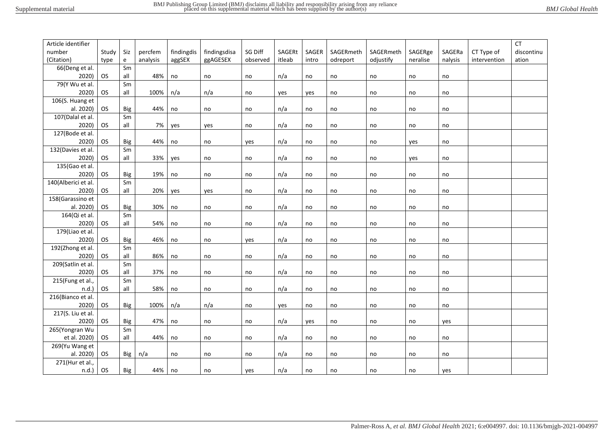| Article identifier            |           |                                            |          |            |              |          |               |       |           |               |          |         |              | <b>CT</b>  |
|-------------------------------|-----------|--------------------------------------------|----------|------------|--------------|----------|---------------|-------|-----------|---------------|----------|---------|--------------|------------|
| number                        | Study     | Siz                                        | percfem  | findingdis | findingsdisa | SG Diff  | <b>SAGERt</b> | SAGER | SAGERmeth | SAGERmeth     | SAGERge  | SAGERa  | CT Type of   | discontinu |
| (Citation)                    | type      | $\mathsf{e}% _{0}\left( \mathsf{e}\right)$ | analysis | aggSEX     | ggAGESEX     | observed | itleab        | intro | odreport  | odjustify     | neralise | nalysis | intervention | ation      |
| 66(Deng et al.                |           | Sm                                         |          |            |              |          |               |       |           |               |          |         |              |            |
| 2020)                         | <b>OS</b> | all                                        | 48%      | no         | no           | no       | n/a           | no    | no        | $\mathsf{no}$ | no       | no      |              |            |
| 79(Y Wu et al.                |           | Sm                                         |          |            |              |          |               |       |           |               |          |         |              |            |
| 2020)                         | <b>OS</b> | all                                        | 100%     | n/a        | n/a          | no       | yes           | yes   | no        | no            | no       | no      |              |            |
| 106(S. Huang et               |           |                                            |          |            |              |          |               |       |           |               |          |         |              |            |
| al. 2020)                     | <b>OS</b> | <b>Big</b>                                 | 44%      | no         | no           | no       | n/a           | no    | no        | $\mathsf{no}$ | no       | no      |              |            |
| 107(Dalal et al.              |           | Sm                                         |          |            |              |          |               |       |           |               |          |         |              |            |
| 2020)                         | <b>OS</b> | all                                        | 7%       | yes        | yes          | no       | n/a           | no    | no        | no            | no       | no      |              |            |
| $\overline{127}$ (Bode et al. |           |                                            |          |            |              |          |               |       |           |               |          |         |              |            |
| 2020)                         | <b>OS</b> | <b>Big</b>                                 | 44%      | no         | no           | yes      | n/a           | no    | no        | no            | yes      | no      |              |            |
| 132(Davies et al.             |           | Sm                                         |          |            |              |          |               |       |           |               |          |         |              |            |
| 2020)                         | <b>OS</b> | all                                        | 33%      | yes        | no           | no       | n/a           | no    | no        | no            | yes      | no      |              |            |
| 135(Gao et al.                |           |                                            |          |            |              |          |               |       |           |               |          |         |              |            |
| 2020)                         | <b>OS</b> | <b>Big</b>                                 | 19%      | no         | no           | no       | n/a           | no    | no        | no            | no       | no      |              |            |
| 140(Alberici et al.           |           | Sm                                         |          |            |              |          |               |       |           |               |          |         |              |            |
| 2020)                         | <b>OS</b> | all                                        | 20%      | yes        | yes          | no       | n/a           | no    | no        | no            | no       | no      |              |            |
| 158(Garassino et              |           |                                            |          |            |              |          |               |       |           |               |          |         |              |            |
| al. 2020)                     | <b>OS</b> | <b>Big</b>                                 | 30%      | no         | no           | no       | n/a           | no    | no        | no            | no       | no      |              |            |
| 164(Qi et al.                 |           | Sm                                         |          |            |              |          |               |       |           |               |          |         |              |            |
| 2020)                         | <b>OS</b> | all                                        | 54%      | no         | no           | no       | n/a           | no    | no        | no            | no       | no      |              |            |
| 179(Liao et al.               |           |                                            |          |            |              |          |               |       |           |               |          |         |              |            |
| 2020)                         | <b>OS</b> | <b>Big</b>                                 | 46%      | no         | no           | yes      | n/a           | no    | no        | no            | no       | no      |              |            |
| 192(Zhong et al.              |           | Sm                                         |          |            |              |          |               |       |           |               |          |         |              |            |
| 2020)                         | <b>OS</b> | all                                        | 86%      | no         | no           | no       | n/a           | no    | no        | no            | no       | no      |              |            |
| 209(Satlin et al.             |           | Sm                                         |          |            |              |          |               |       |           |               |          |         |              |            |
| 2020)                         | <b>OS</b> | all                                        | 37%      | no         | no           | no       | n/a           | no    | no        | no            | no       | no      |              |            |
| 215(Fung et al.,              |           | Sm                                         |          |            |              |          |               |       |           |               |          |         |              |            |
| n.d.                          | <b>OS</b> | all                                        | 58%      | no         | no           | no       | n/a           | no    | no        | no            | no       | no      |              |            |
| 216(Bianco et al.             |           |                                            |          |            |              |          |               |       |           |               |          |         |              |            |
| 2020)                         | <b>OS</b> | <b>Big</b>                                 | 100%     | n/a        | n/a          | no       | yes           | no    | no        | no            | no       | no      |              |            |
| $217(S.$ Liu et al.           |           |                                            |          |            |              |          |               |       |           |               |          |         |              |            |
| 2020)                         | <b>OS</b> | Big                                        | 47%      | no         | no           | no       | n/a           | yes   | no        | no            | no       | yes     |              |            |
| 265(Yongran Wu                |           | Sm                                         |          |            |              |          |               |       |           |               |          |         |              |            |
| et al. 2020)                  | <b>OS</b> | all                                        | 44%      | no         | no           | no       | n/a           | no    | no        | $\mathsf{no}$ | no       | no      |              |            |
| 269(Yu Wang et                |           |                                            |          |            |              |          |               |       |           |               |          |         |              |            |
| al. 2020)                     | <b>OS</b> | Big                                        | n/a      | no         | no           | no       | n/a           | no    | no        | no            | no       | no      |              |            |
| 271(Hur et al.,               |           |                                            |          |            |              |          |               |       |           |               |          |         |              |            |
| $n.d.$ )                      | <b>OS</b> | Big                                        | 44%      | no         | no           | yes      | n/a           | no    | no        | no            | no       | yes     |              |            |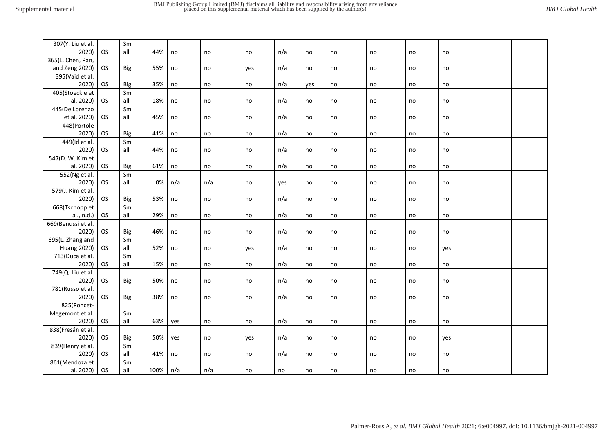| 307(Y. Liu et al.  |           | Sm         |      |               |     |     |     |     |    |    |    |     |  |
|--------------------|-----------|------------|------|---------------|-----|-----|-----|-----|----|----|----|-----|--|
| 2020)              | OS        | all        | 44%  | no            | no  | no  | n/a | no  | no | no | no | no  |  |
| 365(L. Chen, Pan,  |           |            |      |               |     |     |     |     |    |    |    |     |  |
| and Zeng 2020)     | OS.       | Big        | 55%  | no            | no  | yes | n/a | no  | no | no | no | no  |  |
| 395(Vaid et al.    |           |            |      |               |     |     |     |     |    |    |    |     |  |
| 2020)              | OS.       | <b>Big</b> | 35%  | no            | no  | no  | n/a | yes | no | no | no | no  |  |
| 405(Stoeckle et    |           | Sm         |      |               |     |     |     |     |    |    |    |     |  |
| al. 2020)          | OS        | all        | 18%  | no            | no  | no  | n/a | no  | no | no | no | no  |  |
| 445(De Lorenzo     |           | Sm         |      |               |     |     |     |     |    |    |    |     |  |
| et al. 2020)       | OS        | all        | 45%  | no            | no  | no  | n/a | no  | no | no | no | no  |  |
| 448(Portole        |           |            |      |               |     |     |     |     |    |    |    |     |  |
| 2020)              | OS.       | <b>Big</b> | 41%  | no            | no  | no  | n/a | no  | no | no | no | no  |  |
| 449(Id et al.      |           | Sm         |      |               |     |     |     |     |    |    |    |     |  |
| 2020)              | <b>OS</b> | all        | 44%  | no            | no  | no  | n/a | no  | no | no | no | no  |  |
| 547(D. W. Kim et   |           |            |      |               |     |     |     |     |    |    |    |     |  |
| al. 2020)          | OS        | <b>Big</b> | 61%  | no            | no  | no  | n/a | no  | no | no | no | no  |  |
| 552(Ng et al.      |           | Sm         |      |               |     |     |     |     |    |    |    |     |  |
| 2020)              | OS        | all        | 0%   | n/a           | n/a | no  | yes | no  | no | no | no | no  |  |
| 579(J. Kim et al.  |           |            |      |               |     |     |     |     |    |    |    |     |  |
| 2020)              | OS        | <b>Big</b> | 53%  | no            | no  | no  | n/a | no  | no | no | no | no  |  |
| 668(Tschopp et     |           | Sm         |      |               |     |     |     |     |    |    |    |     |  |
| al., n.d.)         | OS        | all        | 29%  | no            | no  | no  | n/a | no  | no | no | no | no  |  |
| 669(Benussi et al. |           |            |      |               |     |     |     |     |    |    |    |     |  |
| 2020)              | <b>OS</b> | Big        | 46%  | no            | no  | no  | n/a | no  | no | no | no | no  |  |
| 695(L. Zhang and   |           | Sm         |      |               |     |     |     |     |    |    |    |     |  |
| <b>Huang 2020)</b> | OS.       | all        | 52%  | no            | no  | yes | n/a | no  | no | no | no | yes |  |
| 713(Duca et al.    |           | Sm         |      |               |     |     |     |     |    |    |    |     |  |
| 2020)              | OS        | all        | 15%  | $\mathsf{no}$ | no  | no  | n/a | no  | no | no | no | no  |  |
| 749(Q. Liu et al.  |           |            |      |               |     |     |     |     |    |    |    |     |  |
| 2020)              | OS.       | <b>Big</b> | 50%  | no            | no  | no  | n/a | no  | no | no | no | no  |  |
| 781(Russo et al.   |           |            |      |               |     |     |     |     |    |    |    |     |  |
| 2020)              | <b>OS</b> | <b>Big</b> | 38%  | no            | no  | no  | n/a | no  | no | no | no | no  |  |
| 825(Poncet-        |           |            |      |               |     |     |     |     |    |    |    |     |  |
| Megemont et al.    |           | Sm         |      |               |     |     |     |     |    |    |    |     |  |
| 2020)              | <b>OS</b> | all        | 63%  | yes           | no  | no  | n/a | no  | no | no | no | no  |  |
| 838(Fresán et al.  |           |            |      |               |     |     |     |     |    |    |    |     |  |
| 2020)              | <b>OS</b> | Big        | 50%  | yes           | no  | yes | n/a | no  | no | no | no | yes |  |
| 839(Henry et al.   |           | Sm         |      |               |     |     |     |     |    |    |    |     |  |
| 2020)              | OS.       | all        | 41%  | no            | no  | no  | n/a | no  | no | no | no | no  |  |
| 861(Mendoza et     |           | Sm         |      |               |     |     |     |     |    |    |    |     |  |
| al. 2020)          | <b>OS</b> | all        | 100% | n/a           | n/a | no  | no  | no  | no | no | no | no  |  |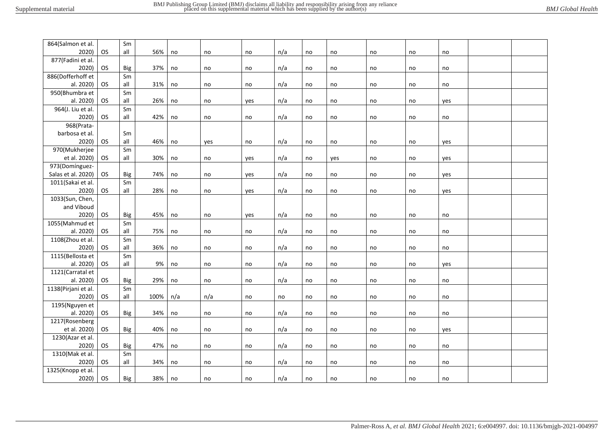| 864(Salmon et al.   |           | Sm  |      |     |     |     |     |    |     |    |    |     |  |
|---------------------|-----------|-----|------|-----|-----|-----|-----|----|-----|----|----|-----|--|
| 2020)               | <b>OS</b> | all | 56%  | no  | no  | no  | n/a | no | no  | no | no | no  |  |
| 877(Fadini et al.   |           |     |      |     |     |     |     |    |     |    |    |     |  |
| 2020)               | OS        | Big | 37%  | no  | no  | no  | n/a | no | no  | no | no | no  |  |
| 886(Dofferhoff et   |           | Sm  |      |     |     |     |     |    |     |    |    |     |  |
| al. 2020)           | OS.       | all | 31%  | no  | no  | no  | n/a | no | no  | no | no | no  |  |
| 950(Bhumbra et      |           | Sm  |      |     |     |     |     |    |     |    |    |     |  |
| al. 2020)           | OS.       | all | 26%  | no  | no  | yes | n/a | no | no  | no | no | yes |  |
| 964(J. Liu et al.   |           | Sm  |      |     |     |     |     |    |     |    |    |     |  |
| 2020)               | <b>OS</b> | all | 42%  | no  | no  | no  | n/a | no | no  | no | no | no  |  |
| 968(Prata-          |           |     |      |     |     |     |     |    |     |    |    |     |  |
| barbosa et al.      |           | Sm  |      |     |     |     |     |    |     |    |    |     |  |
| 2020)               | <b>OS</b> | all | 46%  | no  | yes | no  | n/a | no | no  | no | no | yes |  |
| 970(Mukherjee       |           | Sm  |      |     |     |     |     |    |     |    |    |     |  |
| et al. 2020)        | <b>OS</b> | all | 30%  | no  | no  | yes | n/a | no | yes | no | no | yes |  |
| 973(Domínguez-      |           |     |      |     |     |     |     |    |     |    |    |     |  |
| Salas et al. 2020)  | OS.       | Big | 74%  | no  | no  | yes | n/a | no | no  | no | no | yes |  |
| 1011(Sakai et al.   |           | Sm  |      |     |     |     |     |    |     |    |    |     |  |
| 2020)               | OS.       | all | 28%  | no  | no  | yes | n/a | no | no  | no | no | yes |  |
| 1033(Sun, Chen,     |           |     |      |     |     |     |     |    |     |    |    |     |  |
| and Viboud          |           |     |      |     |     |     |     |    |     |    |    |     |  |
| 2020)               | <b>OS</b> | Big | 45%  | no  | no  | yes | n/a | no | no  | no | no | no  |  |
| 1055(Mahmud et      |           | Sm  |      |     |     |     |     |    |     |    |    |     |  |
| al. 2020)           | OS.       | all | 75%  | no  | no  | no  | n/a | no | no  | no | no | no  |  |
| 1108(Zhou et al.    |           | Sm  |      |     |     |     |     |    |     |    |    |     |  |
| 2020)               | OS.       | all | 36%  | no  | no  | no  | n/a | no | no  | no | no | no  |  |
| 1115(Bellosta et    |           | Sm  |      |     |     |     |     |    |     |    |    |     |  |
| al. 2020)           | OS.       | all | 9%   | no  | no  | no  | n/a | no | no  | no | no | yes |  |
| 1121(Carratal et    |           |     |      |     |     |     |     |    |     |    |    |     |  |
| al. 2020)           | OS.       | Big | 29%  | no  | no  | no  | n/a | no | no  | no | no | no  |  |
| 1138(Pirjani et al. |           | Sm  |      |     |     |     |     |    |     |    |    |     |  |
| 2020)               | OS.       | all | 100% | n/a | n/a | no  | no  | no | no  | no | no | no  |  |
| 1195(Nguyen et      |           |     |      |     |     |     |     |    |     |    |    |     |  |
| al. 2020)           | OS        | Big | 34%  | no  | no  | no  | n/a | no | no  | no | no | no  |  |
| 1217(Rosenberg      |           |     |      |     |     |     |     |    |     |    |    |     |  |
| et al. 2020)        | OS.       | Big | 40%  | no  | no  | no  | n/a | no | no  | no | no | yes |  |
| 1230(Azar et al.    |           |     |      |     |     |     |     |    |     |    |    |     |  |
| 2020)               | OS.       | Big | 47%  | no  | no  | no  | n/a | no | no  | no | no | no  |  |
| 1310(Mak et al.     |           | Sm  |      |     |     |     |     |    |     |    |    |     |  |
| 2020)               | OS.       | all | 34%  | no  | no  | no  | n/a | no | no  | no | no | no  |  |
| 1325(Knopp et al.   |           |     |      |     |     |     |     |    |     |    |    |     |  |
| 2020)               | OS        | Big | 38%  | no  | no  | no  | n/a | no | no  | no | no | no  |  |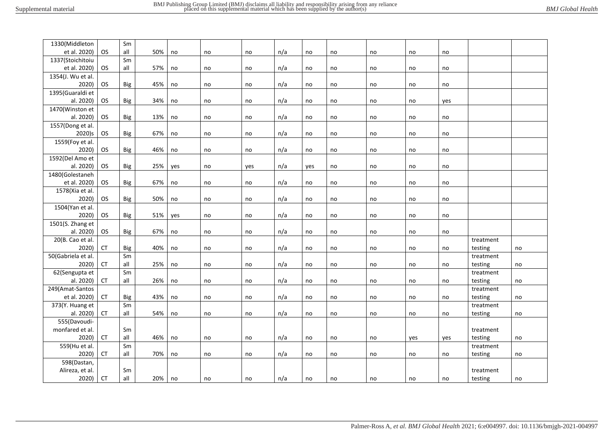| 1330(Middleton           |           | Sm         |     |     |    |     |     |     |    |    |     |     |           |    |
|--------------------------|-----------|------------|-----|-----|----|-----|-----|-----|----|----|-----|-----|-----------|----|
| et al. 2020)             | <b>OS</b> | all        | 50% | no  | no | no  | n/a | no  | no | no | no  | no  |           |    |
| 1337(Stoichitoiu         |           | Sm         |     |     |    |     |     |     |    |    |     |     |           |    |
| et al. 2020)             | OS.       | all        | 57% | no  | no | no  | n/a | no  | no | no | no  | no  |           |    |
| 1354(J. Wu et al.        |           |            |     |     |    |     |     |     |    |    |     |     |           |    |
| 2020)                    | <b>OS</b> | <b>Big</b> | 45% | no  | no | no  | n/a | no  | no | no | no  | no  |           |    |
| 1395(Guaraldi et         |           |            |     |     |    |     |     |     |    |    |     |     |           |    |
| al. 2020)                | OS        | <b>Big</b> | 34% | no  | no | no  | n/a | no  | no | no | no  | yes |           |    |
| 1470(Winston et          |           |            |     |     |    |     |     |     |    |    |     |     |           |    |
| al. 2020)                | OS.       | Big        | 13% | no  | no | no  | n/a | no  | no | no | no  | no  |           |    |
| 1557(Dong et al.         |           |            |     |     |    |     |     |     |    |    |     |     |           |    |
| 2020)s                   | <b>OS</b> | <b>Big</b> | 67% | no  | no | no  | n/a | no  | no | no | no  | no  |           |    |
| 1559(Foy et al.          |           |            |     |     |    |     |     |     |    |    |     |     |           |    |
| 2020)                    | <b>OS</b> | <b>Big</b> | 46% | no  | no | no  | n/a | no  | no | no | no  | no  |           |    |
| 1592(Del Amo et          |           |            |     |     |    |     |     |     |    |    |     |     |           |    |
| al. 2020)                | <b>OS</b> | <b>Big</b> | 25% | yes | no | yes | n/a | yes | no | no | no  | no  |           |    |
| 1480(Golestaneh          |           |            |     |     |    |     |     |     |    |    |     |     |           |    |
| et al. 2020)             | OS.       | Big        | 67% | no  | no | no  | n/a | no  | no | no | no  | no  |           |    |
| 1578(Xia et al.          |           |            |     |     |    |     |     |     |    |    |     |     |           |    |
| 2020)                    | <b>OS</b> | <b>Big</b> | 50% | no  | no | no  | n/a | no  | no | no | no  | no  |           |    |
| 1504(Yan et al.          |           |            |     |     |    |     |     |     |    |    |     |     |           |    |
| 2020)                    | OS        | <b>Big</b> | 51% | yes | no | no  | n/a | no  | no | no | no  | no  |           |    |
| 1501(S. Zhang et         |           |            |     |     |    |     |     |     |    |    |     |     |           |    |
| al. 2020)                | OS.       | <b>Big</b> | 67% | no  | no | no  | n/a | no  | no | no | no  | no  |           |    |
| 20(B. Cao et al.         |           |            |     |     |    |     |     |     |    |    |     |     | treatment |    |
| 2020)                    | <b>CT</b> | <b>Big</b> | 40% | no  | no | no  | n/a | no  | no | no | no  | no  | testing   | no |
| 50(Gabriela et al.       |           | Sm         |     |     |    |     |     |     |    |    |     |     | treatment |    |
| 2020)                    | <b>CT</b> | all        | 25% | no  | no | no  | n/a | no  | no | no | no  | no  | testing   | no |
| 62(Sengupta et           |           | Sm         |     |     |    |     |     |     |    |    |     |     | treatment |    |
| al. 2020)                | <b>CT</b> | all        | 26% | no  | no | no  | n/a | no  | no | no | no  | no  | testing   | no |
| 249(Amat-Santos          |           |            |     |     |    |     |     |     |    |    |     |     | treatment |    |
| et al. 2020)             | <b>CT</b> | <b>Big</b> | 43% | no  | no | no  | n/a | no  | no | no | no  | no  | testing   | no |
| 373(Y. Huang et          |           | Sm         |     |     |    |     |     |     |    |    |     |     | treatment |    |
| al. 2020)                | <b>CT</b> | all        | 54% | no  | no | no  | n/a | no  | no | no | no  | no  | testing   | no |
| 555(Davoudi-             |           |            |     |     |    |     |     |     |    |    |     |     |           |    |
| monfared et al.          |           | Sm         |     |     |    |     |     |     |    |    |     |     | treatment |    |
| 2020)                    | <b>CT</b> | all        | 46% | no  | no | no  | n/a | no  | no | no | yes | yes | testing   | no |
| 559(Hu et al.            |           | Sm         |     |     |    |     |     |     |    |    |     |     | treatment |    |
| 2020)                    | <b>CT</b> | all        | 70% | no  |    | no  | n/a | no  | no | no |     | no  |           |    |
| 598(Dastan,              |           |            |     |     | no |     |     |     |    |    | no  |     | testing   | no |
|                          |           | Sm         |     |     |    |     |     |     |    |    |     |     |           |    |
| Alireza, et al.<br>2020) | <b>CT</b> | all        | 20% |     |    |     |     |     |    |    |     |     | treatment |    |
|                          |           |            |     | no  | no | no  | n/a | no  | no | no | no  | no  | testing   | no |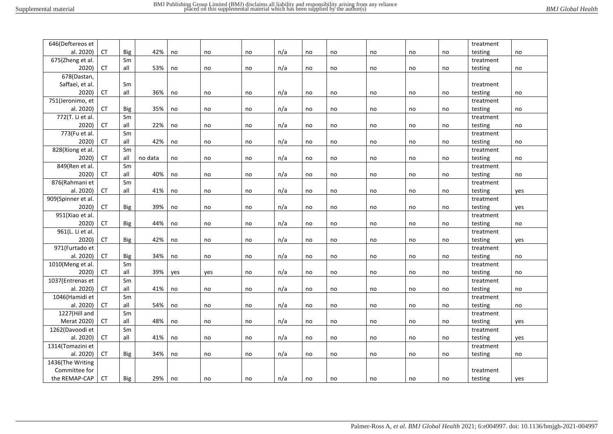| 646(Deftereos et   |            |            |         |     |     |    |     |    |    |    |    |    | treatment |     |
|--------------------|------------|------------|---------|-----|-----|----|-----|----|----|----|----|----|-----------|-----|
| al. 2020)          | <b>CT</b>  | Big        | 42%     | no  | no  | no | n/a | no | no | no | no | no | testing   | no  |
| 675(Zheng et al.   |            | Sm         |         |     |     |    |     |    |    |    |    |    | treatment |     |
| 2020)              | <b>CT</b>  | all        | 53%     | no  | no  | no | n/a | no | no | no | no | no | testing   | no  |
| 678(Dastan,        |            |            |         |     |     |    |     |    |    |    |    |    |           |     |
| Saffaei, et al.    |            | Sm         |         |     |     |    |     |    |    |    |    |    | treatment |     |
| 2020)              | ${\sf CT}$ | all        | 36%     | no  | no  | no | n/a | no | no | no | no | no | testing   | no  |
| 751(Jeronimo, et   |            |            |         |     |     |    |     |    |    |    |    |    | treatment |     |
| al. 2020)          | <b>CT</b>  | <b>Big</b> | 35%     | no  | no  | no | n/a | no | no | no | no | no | testing   | no  |
| 772(T. Li et al.   |            | Sm         |         |     |     |    |     |    |    |    |    |    | treatment |     |
| 2020)              | <b>CT</b>  | all        | 22%     | no  | no  | no | n/a | no | no | no | no | no | testing   | no  |
| 773(Fu et al.      |            | Sm         |         |     |     |    |     |    |    |    |    |    | treatment |     |
| 2020)              | <b>CT</b>  | all        | 42%     | no  | no  | no | n/a | no | no | no | no | no | testing   | no  |
| 828(Xiong et al.   |            | Sm         |         |     |     |    |     |    |    |    |    |    | treatment |     |
| 2020)              | <b>CT</b>  | all        | no data | no  | no  | no | n/a | no | no | no | no | no | testing   | no  |
| 849(Ren et al.     |            | Sm         |         |     |     |    |     |    |    |    |    |    | treatment |     |
| 2020)              | <b>CT</b>  | all        | 40%     | no  | no  | no | n/a | no | no | no | no | no | testing   | no  |
| 876(Rahmani et     |            | Sm         |         |     |     |    |     |    |    |    |    |    | treatment |     |
| al. 2020)          | <b>CT</b>  | all        | 41%     | no  | no  | no | n/a | no | no | no | no | no | testing   | yes |
| 909(Spinner et al. |            |            |         |     |     |    |     |    |    |    |    |    | treatment |     |
| 2020)              | CT         | Big        | 39%     | no  | no  | no | n/a | no | no | no | no | no | testing   | yes |
| 951(Xiao et al.    |            |            |         |     |     |    |     |    |    |    |    |    | treatment |     |
| 2020)              | <b>CT</b>  | Big        | 44%     | no  | no  | no | n/a | no | no | no | no | no | testing   | no  |
| 961(L. Li et al.   |            |            |         |     |     |    |     |    |    |    |    |    | treatment |     |
| 2020)              | <b>CT</b>  | Big        | 42%     | no  | no  | no | n/a | no | no | no | no | no | testing   | yes |
| 971(Furtado et     |            |            |         |     |     |    |     |    |    |    |    |    | treatment |     |
| al. 2020)          | <b>CT</b>  | Big        | 34%     | no  | no  | no | n/a | no | no | no | no | no | testing   | no  |
| 1010(Meng et al.   |            | Sm         |         |     |     |    |     |    |    |    |    |    | treatment |     |
| 2020)              | <b>CT</b>  | all        | 39%     | yes | yes | no | n/a | no | no | no | no | no | testing   | no  |
| 1037(Entrenas et   |            | Sm         |         |     |     |    |     |    |    |    |    |    | treatment |     |
| al. 2020)          | <b>CT</b>  | all        | 41%     | no  | no  | no | n/a | no | no | no | no | no | testing   | no  |
| 1046(Hamidi et     |            | Sm         |         |     |     |    |     |    |    |    |    |    | treatment |     |
| al. 2020)          | <b>CT</b>  | all        | 54%     | no  | no  | no | n/a | no | no | no | no | no | testing   | no  |
| 1227(Hill and      |            | Sm         |         |     |     |    |     |    |    |    |    |    | treatment |     |
| Merat 2020)        | <b>CT</b>  | all        | 48%     | no  | no  | no | n/a | no | no | no | no | no | testing   | yes |
| 1262(Davoodi et    |            | Sm         |         |     |     |    |     |    |    |    |    |    | treatment |     |
| al. 2020)          | CT         | all        | 41%     | no  | no  | no | n/a | no | no | no | no | no | testing   | yes |
| 1314(Tomazini et   |            |            |         |     |     |    |     |    |    |    |    |    | treatment |     |
| al. 2020)          | CT         | Big        | 34%     | no  | no  | no | n/a | no | no | no | no | no | testing   | no  |
| 1436(The Writing   |            |            |         |     |     |    |     |    |    |    |    |    |           |     |
| Committee for      |            |            |         |     |     |    |     |    |    |    |    |    | treatment |     |
| the REMAP-CAP      | <b>CT</b>  | Big        | 29% no  |     | no  | no | n/a | no | no | no | no | no | testing   | yes |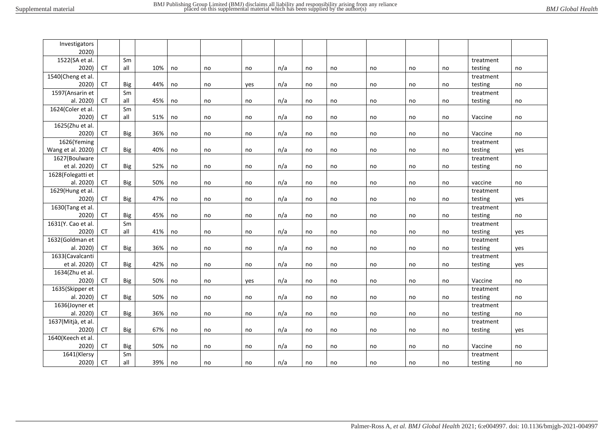| Investigators      |           |     |     |    |    |     |     |    |    |    |    |    |           |     |
|--------------------|-----------|-----|-----|----|----|-----|-----|----|----|----|----|----|-----------|-----|
| 2020)              |           |     |     |    |    |     |     |    |    |    |    |    |           |     |
| 1522(SA et al.     |           | Sm  |     |    |    |     |     |    |    |    |    |    | treatment |     |
| 2020)              | <b>CT</b> | all | 10% | no | no | no  | n/a | no | no | no | no | no | testing   | no  |
| 1540(Cheng et al.  |           |     |     |    |    |     |     |    |    |    |    |    | treatment |     |
| 2020)              | <b>CT</b> | Big | 44% | no | no | yes | n/a | no | no | no | no | no | testing   | no  |
| 1597(Ansarin et    |           | Sm  |     |    |    |     |     |    |    |    |    |    | treatment |     |
| al. 2020)          | <b>CT</b> | all | 45% | no | no | no  | n/a | no | no | no | no | no | testing   | no  |
| 1624(Coler et al.  |           | Sm  |     |    |    |     |     |    |    |    |    |    |           |     |
| 2020)              | <b>CT</b> | all | 51% | no | no | no  | n/a | no | no | no | no | no | Vaccine   | no  |
| 1625(Zhu et al.    |           |     |     |    |    |     |     |    |    |    |    |    |           |     |
| 2020)              | <b>CT</b> | Big | 36% | no | no | no  | n/a | no | no | no | no | no | Vaccine   | no  |
| 1626(Yeming        |           |     |     |    |    |     |     |    |    |    |    |    | treatment |     |
| Wang et al. 2020)  | CT        | Big | 40% | no | no | no  | n/a | no | no | no | no | no | testing   | yes |
| 1627(Boulware      |           |     |     |    |    |     |     |    |    |    |    |    | treatment |     |
| et al. 2020)       | CT        | Big | 52% | no | no | no  | n/a | no | no | no | no | no | testing   | no  |
| 1628(Folegatti et  |           |     |     |    |    |     |     |    |    |    |    |    |           |     |
| al. 2020)          | <b>CT</b> | Big | 50% | no | no | no  | n/a | no | no | no | no | no | vaccine   | no  |
| 1629(Hung et al.   |           |     |     |    |    |     |     |    |    |    |    |    | treatment |     |
| 2020)              | CT        | Big | 47% | no | no | no  | n/a | no | no | no | no | no | testing   | yes |
| 1630(Tang et al.   |           |     |     |    |    |     |     |    |    |    |    |    | treatment |     |
| 2020)              | <b>CT</b> | Big | 45% | no | no | no  | n/a | no | no | no | no | no | testing   | no  |
| 1631(Y. Cao et al. |           | Sm  |     |    |    |     |     |    |    |    |    |    | treatment |     |
| 2020)              | CT        | all | 41% | no | no | no  | n/a | no | no | no | no | no | testing   | yes |
| 1632(Goldman et    |           |     |     |    |    |     |     |    |    |    |    |    | treatment |     |
| al. 2020)          | CT        | Big | 36% | no | no | no  | n/a | no | no | no | no | no | testing   | yes |
| 1633(Cavalcanti    |           |     |     |    |    |     |     |    |    |    |    |    | treatment |     |
| et al. 2020)       | CT        | Big | 42% | no | no | no  | n/a | no | no | no | no | no | testing   | yes |
| 1634(Zhu et al.    |           |     |     |    |    |     |     |    |    |    |    |    |           |     |
| 2020)              | <b>CT</b> | Big | 50% | no | no | yes | n/a | no | no | no | no | no | Vaccine   | no  |
| 1635(Skipper et    |           |     |     |    |    |     |     |    |    |    |    |    | treatment |     |
| al. 2020)          | CT        | Big | 50% | no | no | no  | n/a | no | no | no | no | no | testing   | no  |
| 1636(Joyner et     |           |     |     |    |    |     |     |    |    |    |    |    | treatment |     |
| al. 2020)          | CT        | Big | 36% | no | no | no  | n/a | no | no | no | no | no | testing   | no  |
| 1637(Mitjà, et al. |           |     |     |    |    |     |     |    |    |    |    |    | treatment |     |
| 2020)              | CT        | Big | 67% | no | no | no  | n/a | no | no | no | no | no | testing   | yes |
| 1640(Keech et al.  |           |     |     |    |    |     |     |    |    |    |    |    |           |     |
| 2020)              | <b>CT</b> | Big | 50% | no | no | no  | n/a | no | no | no | no | no | Vaccine   | no  |
| 1641(Klersy        |           | Sm  |     |    |    |     |     |    |    |    |    |    | treatment |     |
| 2020)              | CT        | all | 39% | no | no | no  | n/a | no | no | no | no | no | testing   | no  |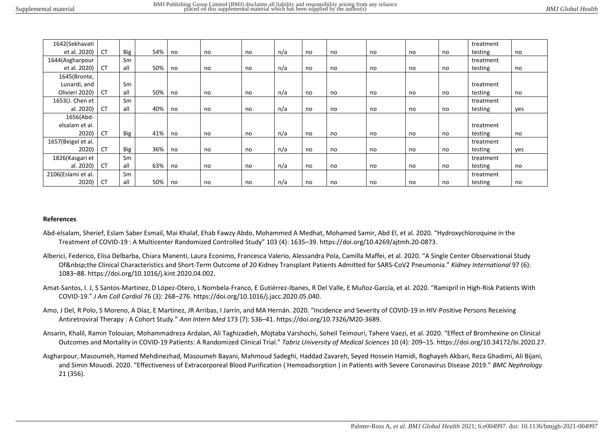| 1642(Sekhavati     |           |     |     |    |    |    |     |    |    |    |    |    | treatment |     |
|--------------------|-----------|-----|-----|----|----|----|-----|----|----|----|----|----|-----------|-----|
| et al. 2020)       | <b>CT</b> | Big | 54% | no | no | no | n/a | no | no | no | no | no | testing   | no  |
| 1644(Asgharpour    |           | Sm  |     |    |    |    |     |    |    |    |    |    | treatment |     |
| et al. 2020)       | <b>CT</b> | all | 50% | no | no | no | n/a | no | no | no | no | no | testing   | no  |
| 1645(Bronte,       |           |     |     |    |    |    |     |    |    |    |    |    |           |     |
| Lunardi, and       |           | Sm  |     |    |    |    |     |    |    |    |    |    | treatment |     |
| Olivieri 2020)     | <b>CT</b> | all | 50% | no | no | no | n/a | no | no | no | no | no | testing   | no  |
| 1653(J. Chen et    |           | Sm  |     |    |    |    |     |    |    |    |    |    | treatment |     |
| al. 2020)          | <b>CT</b> | all | 40% | no | no | no | n/a | no | no | no | no | no | testing   | yes |
| 1656(Abd-          |           |     |     |    |    |    |     |    |    |    |    |    |           |     |
| elsalam et al.     |           |     |     |    |    |    |     |    |    |    |    |    | treatment |     |
| 2020)              | <b>CT</b> | Big | 41% | no | no | no | n/a | no | no | no | no | no | testing   | no  |
| 1657(Beigel et al. |           |     |     |    |    |    |     |    |    |    |    |    | treatment |     |
| 2020)              | <b>CT</b> | Big | 36% | no | no | no | n/a | no | no | no | no | no | testing   | yes |
| 1826(Kasgari et    |           | Sm  |     |    |    |    |     |    |    |    |    |    | treatment |     |
| al. 2020)          | <b>CT</b> | all | 63% | no | no | no | n/a | no | no | no | no | no | testing   | no  |
| 2106(Eslami et al. |           | Sm  |     |    |    |    |     |    |    |    |    |    | treatment |     |
| 2020)              | <b>CT</b> | all | 50% | no | no | no | n/a | no | no | no | no | no | testing   | no  |

## **References**

- Abd-elsalam, Sherief, Eslam Saber Esmail, Mai Khalaf, Ehab Fawzy Abdo, Mohammed A Medhat, Mohamed Samir, Abd El, et al. 2020. "Hydroxychloroquine in the Treatment of COVID-19 : A Multicenter Randomized Controlled Study" 103 (4): 1635–39. https://doi.org/10.4269/ajtmh.20-0873.
- Alberici, Federico, Elisa Delbarba, Chiara Manenti, Laura Econimo, Francesca Valerio, Alessandra Pola, Camilla Maffei, et al. 2020. "A Single Center Observational Study Of the Clinical Characteristics and Short-Term Outcome of 20 Kidney Transplant Patients Admitted for SARS-CoV2 Pneumonia." *Kidney International* 97 (6): 1083–88. https://doi.org/10.1016/j.kint.2020.04.002.
- Amat-Santos, I. J, S Santos-Martinez, D López-Otero, L Nombela-Franco, E Gutiérrez-Ibanes, R Del Valle, E Muñoz-García, et al. 2020. "Ramipril in High-Risk Patients With COVID-19." *J Am Coll Cardiol* 76 (3): 268–276. https://doi.org/10.1016/j.jacc.2020.05.040.
- Amo, J Del, R Polo, S Moreno, A Díaz, E Martínez, JR Arribas, I Jarrín, and MA Hernán. 2020. "Incidence and Severity of COVID-19 in HIV-Positive Persons Receiving Antiretroviral Therapy : A Cohort Study." *Ann Intern Med* 173 (7): 536–41. https://doi.org/10.7326/M20-3689.
- Ansarin, Khalil, Ramin Tolouian, Mohammadreza Ardalan, Ali Taghizadieh, Mojtaba Varshochi, Soheil Teimouri, Tahere Vaezi, et al. 2020. "Effect of Bromhexine on Clinical Outcomes and Mortality in COVID-19 Patients: A Randomized Clinical Trial." *Tabriz University of Medical Sciences* 10 (4): 209–15. https://doi.org/10.34172/bi.2020.27.
- Asgharpour, Masoumeh, Hamed Mehdinezhad, Masoumeh Bayani, Mahmoud Sadeghi, Haddad Zavareh, Seyed Hossein Hamidi, Roghayeh Akbari, Reza Ghadimi, Ali Bijani, and Simin Mouodi. 2020. "Effectiveness of Extracorporeal Blood Purification ( Hemoadsorption ) in Patients with Severe Coronavirus Disease 2019." *BMC Nephrology* 21 (356).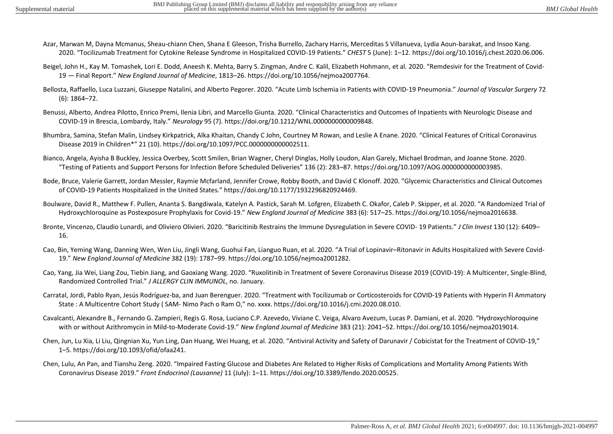- Azar, Marwan M, Dayna Mcmanus, Sheau-chiann Chen, Shana E Gleeson, Trisha Burrello, Zachary Harris, Merceditas S Villanueva, Lydia Aoun-barakat, and Insoo Kang. 2020. "Tocilizumab Treatment for Cytokine Release Syndrome in Hospitalized COVID-19 Patients." *CHEST* 5 (June): 1–12. https://doi.org/10.1016/j.chest.2020.06.006.
- Beigel, John H., Kay M. Tomashek, Lori E. Dodd, Aneesh K. Mehta, Barry S. Zingman, Andre C. Kalil, Elizabeth Hohmann, et al. 2020. "Remdesivir for the Treatment of Covid-19 — Final Report." *New England Journal of Medicine*, 1813–26. https://doi.org/10.1056/nejmoa2007764.
- Bellosta, Raffaello, Luca Luzzani, Giuseppe Natalini, and Alberto Pegorer. 2020. "Acute Limb Ischemia in Patients with COVID-19 Pneumonia." *Journal of Vascular Surgery* 72 (6): 1864–72.
- Benussi, Alberto, Andrea Pilotto, Enrico Premi, Ilenia Libri, and Marcello Giunta. 2020. "Clinical Characteristics and Outcomes of Inpatients with Neurologic Disease and COVID-19 in Brescia, Lombardy, Italy." *Neurology* 95 (7). https://doi.org/10.1212/WNL.0000000000009848.
- Bhumbra, Samina, Stefan Malin, Lindsey Kirkpatrick, Alka Khaitan, Chandy C John, Courtney M Rowan, and Leslie A Enane. 2020. "Clinical Features of Critical Coronavirus Disease 2019 in Children\*" 21 (10). https://doi.org/10.1097/PCC.0000000000002511.
- Bianco, Angela, Ayisha B Buckley, Jessica Overbey, Scott Smilen, Brian Wagner, Cheryl Dinglas, Holly Loudon, Alan Garely, Michael Brodman, and Joanne Stone. 2020. "Testing of Patients and Support Persons for Infection Before Scheduled Deliveries" 136 (2): 283–87. https://doi.org/10.1097/AOG.0000000000003985.
- Bode, Bruce, Valerie Garrett, Jordan Messler, Raymie Mcfarland, Jennifer Crowe, Robby Booth, and David C Klonoff. 2020. "Glycemic Characteristics and Clinical Outcomes of COVID-19 Patients Hospitalized in the United States." https://doi.org/10.1177/1932296820924469.
- Boulware, David R., Matthew F. Pullen, Ananta S. Bangdiwala, Katelyn A. Pastick, Sarah M. Lofgren, Elizabeth C. Okafor, Caleb P. Skipper, et al. 2020. "A Randomized Trial of Hydroxychloroquine as Postexposure Prophylaxis for Covid-19." *New England Journal of Medicine* 383 (6): 517–25. https://doi.org/10.1056/nejmoa2016638.
- Bronte, Vincenzo, Claudio Lunardi, and Oliviero Olivieri. 2020. "Baricitinib Restrains the Immune Dysregulation in Severe COVID- 19 Patients." *J Clin Invest* 130 (12): 6409– 16.
- Cao, Bin, Yeming Wang, Danning Wen, Wen Liu, Jingli Wang, Guohui Fan, Lianguo Ruan, et al. 2020. "A Trial of Lopinavir–Ritonavir in Adults Hospitalized with Severe Covid-19." *New England Journal of Medicine* 382 (19): 1787–99. https://doi.org/10.1056/nejmoa2001282.
- Cao, Yang, Jia Wei, Liang Zou, Tiebin Jiang, and Gaoxiang Wang. 2020. "Ruxolitinib in Treatment of Severe Coronavirus Disease 2019 (COVID-19): A Multicenter, Single-Blind, Randomized Controlled Trial." *J ALLERGY CLIN IMMUNOL*, no. January.
- Carratal, Jordi, Pablo Ryan, Jesús Rodríguez-ba, and Juan Berenguer. 2020. "Treatment with Tocilizumab or Corticosteroids for COVID-19 Patients with Hyperin Fl Ammatory State : A Multicentre Cohort Study ( SAM- Nimo Pach o Ram O," no. xxxx. https://doi.org/10.1016/j.cmi.2020.08.010.
- Cavalcanti, Alexandre B., Fernando G. Zampieri, Regis G. Rosa, Luciano C.P. Azevedo, Viviane C. Veiga, Alvaro Avezum, Lucas P. Damiani, et al. 2020. "Hydroxychloroquine with or without Azithromycin in Mild-to-Moderate Covid-19." *New England Journal of Medicine* 383 (21): 2041–52. https://doi.org/10.1056/nejmoa2019014.
- Chen, Jun, Lu Xia, Li Liu, Qingnian Xu, Yun Ling, Dan Huang, Wei Huang, et al. 2020. "Antiviral Activity and Safety of Darunavir / Cobicistat for the Treatment of COVID-19," 1–5. https://doi.org/10.1093/ofid/ofaa241.
- Chen, Lulu, An Pan, and Tianshu Zeng. 2020. "Impaired Fasting Glucose and Diabetes Are Related to Higher Risks of Complications and Mortality Among Patients With Coronavirus Disease 2019." *Front Endocrinol (Lausanne)* 11 (July): 1–11. https://doi.org/10.3389/fendo.2020.00525.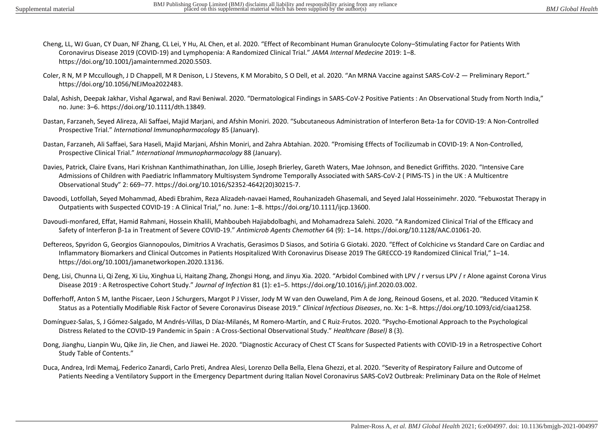- Cheng, LL, WJ Guan, CY Duan, NF Zhang, CL Lei, Y Hu, AL Chen, et al. 2020. "Effect of Recombinant Human Granulocyte Colony–Stimulating Factor for Patients With Coronavirus Disease 2019 (COVID-19) and Lymphopenia: A Randomized Clinical Trial." *JAMA Internal Medecine* 2019: 1–8. https://doi.org/10.1001/jamainternmed.2020.5503.
- Coler, R N, M P Mccullough, J D Chappell, M R Denison, L J Stevens, K M Morabito, S O Dell, et al. 2020. "An MRNA Vaccine against SARS-CoV-2 Preliminary Report." https://doi.org/10.1056/NEJMoa2022483.
- Dalal, Ashish, Deepak Jakhar, Vishal Agarwal, and Ravi Beniwal. 2020. "Dermatological Findings in SARS-CoV-2 Positive Patients : An Observational Study from North India," no. June: 3–6. https://doi.org/10.1111/dth.13849.
- Dastan, Farzaneh, Seyed Alireza, Ali Saffaei, Majid Marjani, and Afshin Moniri. 2020. "Subcutaneous Administration of Interferon Beta-1a for COVID-19: A Non-Controlled Prospective Trial." *International Immunopharmacology* 85 (January).
- Dastan, Farzaneh, Ali Saffaei, Sara Haseli, Majid Marjani, Afshin Moniri, and Zahra Abtahian. 2020. "Promising Effects of Tocilizumab in COVID-19: A Non-Controlled, Prospective Clinical Trial." *International Immunopharmacology* 88 (January).
- Davies, Patrick, Claire Evans, Hari Krishnan Kanthimathinathan, Jon Lillie, Joseph Brierley, Gareth Waters, Mae Johnson, and Benedict Griffiths. 2020. "Intensive Care Admissions of Children with Paediatric Inflammatory Multisystem Syndrome Temporally Associated with SARS-CoV-2 ( PIMS-TS ) in the UK : A Multicentre Observational Study" 2: 669–77. https://doi.org/10.1016/S2352-4642(20)30215-7.
- Davoodi, Lotfollah, Seyed Mohammad, Abedi Ebrahim, Reza Alizadeh-navaei Hamed, Rouhanizadeh Ghasemali, and Seyed Jalal Hosseinimehr. 2020. "Febuxostat Therapy in Outpatients with Suspected COVID-19 : A Clinical Trial," no. June: 1–8. https://doi.org/10.1111/ijcp.13600.
- Davoudi-monfared, Effat, Hamid Rahmani, Hossein Khalili, Mahboubeh Hajiabdolbaghi, and Mohamadreza Salehi. 2020. "A Randomized Clinical Trial of the Efficacy and Safety of Interferon β-1a in Treatment of Severe COVID-19." *Antimicrob Agents Chemother* 64 (9): 1–14. https://doi.org/10.1128/AAC.01061-20.
- Deftereos, Spyridon G, Georgios Giannopoulos, Dimitrios A Vrachatis, Gerasimos D Siasos, and Sotiria G Giotaki. 2020. "Effect of Colchicine vs Standard Care on Cardiac and Inflammatory Biomarkers and Clinical Outcomes in Patients Hospitalized With Coronavirus Disease 2019 The GRECCO-19 Randomized Clinical Trial," 1–14. https://doi.org/10.1001/jamanetworkopen.2020.13136.
- Deng, Lisi, Chunna Li, Qi Zeng, Xi Liu, Xinghua Li, Haitang Zhang, Zhongsi Hong, and Jinyu Xia. 2020. "Arbidol Combined with LPV / r versus LPV / r Alone against Corona Virus Disease 2019 : A Retrospective Cohort Study." *Journal of Infection* 81 (1): e1–5. https://doi.org/10.1016/j.jinf.2020.03.002.
- Dofferhoff, Anton S M, Ianthe Piscaer, Leon J Schurgers, Margot P J Visser, Jody M W van den Ouweland, Pim A de Jong, Reinoud Gosens, et al. 2020. "Reduced Vitamin K Status as a Potentially Modifiable Risk Factor of Severe Coronavirus Disease 2019." *Clinical Infectious Diseases*, no. Xx: 1–8. https://doi.org/10.1093/cid/ciaa1258.
- Domínguez-Salas, S, J Gómez-Salgado, M Andrés-Villas, D Díaz-Milanés, M Romero-Martín, and C Ruiz-Frutos. 2020. "Psycho-Emotional Approach to the Psychological Distress Related to the COVID-19 Pandemic in Spain : A Cross-Sectional Observational Study." *Healthcare (Basel)* 8 (3).
- Dong, Jianghu, Lianpin Wu, Qike Jin, Jie Chen, and Jiawei He. 2020. "Diagnostic Accuracy of Chest CT Scans for Suspected Patients with COVID-19 in a Retrospective Cohort Study Table of Contents."
- Duca, Andrea, Irdi Memaj, Federico Zanardi, Carlo Preti, Andrea Alesi, Lorenzo Della Bella, Elena Ghezzi, et al. 2020. "Severity of Respiratory Failure and Outcome of Patients Needing a Ventilatory Support in the Emergency Department during Italian Novel Coronavirus SARS-CoV2 Outbreak: Preliminary Data on the Role of Helmet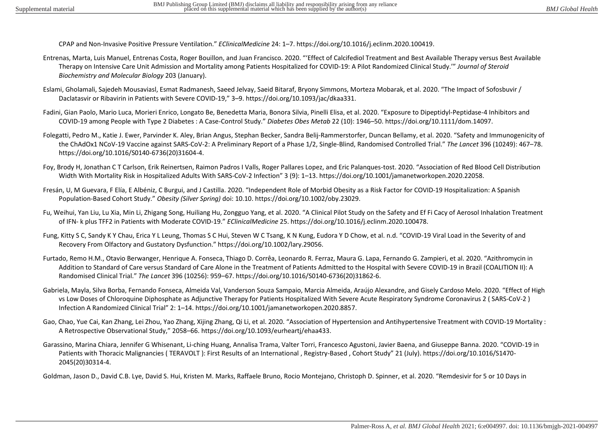CPAP and Non-Invasive Positive Pressure Ventilation." *EClinicalMedicine* 24: 1–7. https://doi.org/10.1016/j.eclinm.2020.100419.

- Entrenas, Marta, Luis Manuel, Entrenas Costa, Roger Bouillon, and Juan Francisco. 2020. "'Effect of Calcifediol Treatment and Best Available Therapy versus Best Available Therapy on Intensive Care Unit Admission and Mortality among Patients Hospitalized for COVID-19: A Pilot Randomized Clinical Study.'" *Journal of Steroid Biochemistry and Molecular Biology* 203 (January).
- Eslami, Gholamali, Sajedeh Mousaviasl, Esmat Radmanesh, Saeed Jelvay, Saeid Bitaraf, Bryony Simmons, Morteza Mobarak, et al. 2020. "The Impact of Sofosbuvir / Daclatasvir or Ribavirin in Patients with Severe COVID-19," 3–9. https://doi.org/10.1093/jac/dkaa331.
- Fadini, Gian Paolo, Mario Luca, Morieri Enrico, Longato Be, Benedetta Maria, Bonora Silvia, Pinelli Elisa, et al. 2020. "Exposure to Dipeptidyl-Peptidase-4 Inhibitors and COVID-19 among People with Type 2 Diabetes : A Case-Control Study." *Diabetes Obes Metab* 22 (10): 1946–50. https://doi.org/10.1111/dom.14097.
- Folegatti, Pedro M., Katie J. Ewer, Parvinder K. Aley, Brian Angus, Stephan Becker, Sandra Belij-Rammerstorfer, Duncan Bellamy, et al. 2020. "Safety and Immunogenicity of the ChAdOx1 NCoV-19 Vaccine against SARS-CoV-2: A Preliminary Report of a Phase 1/2, Single-Blind, Randomised Controlled Trial." *The Lancet* 396 (10249): 467–78. https://doi.org/10.1016/S0140-6736(20)31604-4.
- Foy, Brody H, Jonathan C T Carlson, Erik Reinertsen, Raimon Padros I Valls, Roger Pallares Lopez, and Eric Palanques-tost. 2020. "Association of Red Blood Cell Distribution Width With Mortality Risk in Hospitalized Adults With SARS-CoV-2 Infection" 3 (9): 1–13. https://doi.org/10.1001/jamanetworkopen.2020.22058.
- Fresán, U, M Guevara, F Elía, E Albéniz, C Burgui, and J Castilla. 2020. "Independent Role of Morbid Obesity as a Risk Factor for COVID-19 Hospitalization: A Spanish Population-Based Cohort Study." *Obesity (Silver Spring)* doi: 10.10. https://doi.org/10.1002/oby.23029.
- Fu, Weihui, Yan Liu, Lu Xia, Min Li, Zhigang Song, Huiliang Hu, Zongguo Yang, et al. 2020. "A Clinical Pilot Study on the Safety and Ef Fi Cacy of Aerosol Inhalation Treatment of IFN- k plus TFF2 in Patients with Moderate COVID-19." *EClinicalMedicine* 25. https://doi.org/10.1016/j.eclinm.2020.100478.
- Fung, Kitty S C, Sandy K Y Chau, Erica Y L Leung, Thomas S C Hui, Steven W C Tsang, K N Kung, Eudora Y D Chow, et al. n.d. "COVID-19 Viral Load in the Severity of and Recovery From Olfactory and Gustatory Dysfunction." https://doi.org/10.1002/lary.29056.
- Furtado, Remo H.M., Otavio Berwanger, Henrique A. Fonseca, Thiago D. Corrêa, Leonardo R. Ferraz, Maura G. Lapa, Fernando G. Zampieri, et al. 2020. "Azithromycin in Addition to Standard of Care versus Standard of Care Alone in the Treatment of Patients Admitted to the Hospital with Severe COVID-19 in Brazil (COALITION II): A Randomised Clinical Trial." *The Lancet* 396 (10256): 959–67. https://doi.org/10.1016/S0140-6736(20)31862-6.
- Gabriela, Mayla, Silva Borba, Fernando Fonseca, Almeida Val, Vanderson Souza Sampaio, Marcia Almeida, Araújo Alexandre, and Gisely Cardoso Melo. 2020. "Effect of High vs Low Doses of Chloroquine Diphosphate as Adjunctive Therapy for Patients Hospitalized With Severe Acute Respiratory Syndrome Coronavirus 2 ( SARS-CoV-2 ) Infection A Randomized Clinical Trial" 2: 1–14. https://doi.org/10.1001/jamanetworkopen.2020.8857.
- Gao, Chao, Yue Cai, Kan Zhang, Lei Zhou, Yao Zhang, Xijing Zhang, Qi Li, et al. 2020. "Association of Hypertension and Antihypertensive Treatment with COVID-19 Mortality : A Retrospective Observational Study," 2058–66. https://doi.org/10.1093/eurheartj/ehaa433.
- Garassino, Marina Chiara, Jennifer G Whisenant, Li-ching Huang, Annalisa Trama, Valter Torri, Francesco Agustoni, Javier Baena, and Giuseppe Banna. 2020. "COVID-19 in Patients with Thoracic Malignancies ( TERAVOLT ): First Results of an International , Registry-Based , Cohort Study" 21 (July). https://doi.org/10.1016/S1470- 2045(20)30314-4.

Goldman, Jason D., David C.B. Lye, David S. Hui, Kristen M. Marks, Raffaele Bruno, Rocio Montejano, Christoph D. Spinner, et al. 2020. "Remdesivir for 5 or 10 Days in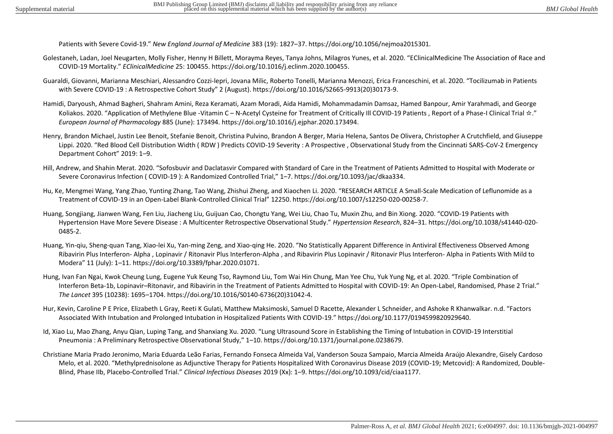Patients with Severe Covid-19." *New England Journal of Medicine* 383 (19): 1827–37. https://doi.org/10.1056/nejmoa2015301.

- Golestaneh, Ladan, Joel Neugarten, Molly Fisher, Henny H Billett, Morayma Reyes, Tanya Johns, Milagros Yunes, et al. 2020. "EClinicalMedicine The Association of Race and COVID-19 Mortality." *EClinicalMedicine* 25: 100455. https://doi.org/10.1016/j.eclinm.2020.100455.
- Guaraldi, Giovanni, Marianna Meschiari, Alessandro Cozzi-lepri, Jovana Milic, Roberto Tonelli, Marianna Menozzi, Erica Franceschini, et al. 2020. "Tocilizumab in Patients with Severe COVID-19 : A Retrospective Cohort Study" 2 (August). https://doi.org/10.1016/S2665-9913(20)30173-9.
- Hamidi, Daryoush, Ahmad Bagheri, Shahram Amini, Reza Keramati, Azam Moradi, Aida Hamidi, Mohammadamin Damsaz, Hamed Banpour, Amir Yarahmadi, and George Koliakos. 2020. "Application of Methylene Blue -Vitamin C – N-Acetyl Cysteine for Treatment of Critically Ill COVID-19 Patients, Report of a Phase-I Clinical Trial  $\dot{\propto}$ ." *European Journal of Pharmacology* 885 (June): 173494. https://doi.org/10.1016/j.ejphar.2020.173494.
- Henry, Brandon Michael, Justin Lee Benoit, Stefanie Benoit, Christina Pulvino, Brandon A Berger, Maria Helena, Santos De Olivera, Christopher A Crutchfield, and Giuseppe Lippi. 2020. "Red Blood Cell Distribution Width ( RDW ) Predicts COVID-19 Severity : A Prospective , Observational Study from the Cincinnati SARS-CoV-2 Emergency Department Cohort" 2019: 1–9.
- Hill, Andrew, and Shahin Merat. 2020. "Sofosbuvir and Daclatasvir Compared with Standard of Care in the Treatment of Patients Admitted to Hospital with Moderate or Severe Coronavirus Infection ( COVID-19 ): A Randomized Controlled Trial," 1–7. https://doi.org/10.1093/jac/dkaa334.
- Hu, Ke, Mengmei Wang, Yang Zhao, Yunting Zhang, Tao Wang, Zhishui Zheng, and Xiaochen Li. 2020. "RESEARCH ARTICLE A Small-Scale Medication of Leflunomide as a Treatment of COVID-19 in an Open-Label Blank-Controlled Clinical Trial" 12250. https://doi.org/10.1007/s12250-020-00258-7.
- Huang, Songjiang, Jianwen Wang, Fen Liu, Jiacheng Liu, Guijuan Cao, Chongtu Yang, Wei Liu, Chao Tu, Muxin Zhu, and Bin Xiong. 2020. "COVID-19 Patients with Hypertension Have More Severe Disease : A Multicenter Retrospective Observational Study." *Hypertension Research*, 824–31. https://doi.org/10.1038/s41440-020- 0485-2.
- Huang, Yin-qiu, Sheng-quan Tang, Xiao-lei Xu, Yan-ming Zeng, and Xiao-qing He. 2020. "No Statistically Apparent Difference in Antiviral Effectiveness Observed Among Ribavirin Plus Interferon- Alpha , Lopinavir / Ritonavir Plus Interferon-Alpha , and Ribavirin Plus Lopinavir / Ritonavir Plus Interferon- Alpha in Patients With Mild to Modera" 11 (July): 1–11. https://doi.org/10.3389/fphar.2020.01071.
- Hung, Ivan Fan Ngai, Kwok Cheung Lung, Eugene Yuk Keung Tso, Raymond Liu, Tom Wai Hin Chung, Man Yee Chu, Yuk Yung Ng, et al. 2020. "Triple Combination of Interferon Beta-1b, Lopinavir–Ritonavir, and Ribavirin in the Treatment of Patients Admitted to Hospital with COVID-19: An Open-Label, Randomised, Phase 2 Trial." *The Lancet* 395 (10238): 1695–1704. https://doi.org/10.1016/S0140-6736(20)31042-4.
- Hur, Kevin, Caroline P E Price, Elizabeth L Gray, Reeti K Gulati, Matthew Maksimoski, Samuel D Racette, Alexander L Schneider, and Ashoke R Khanwalkar. n.d. "Factors Associated With Intubation and Prolonged Intubation in Hospitalized Patients With COVID-19." https://doi.org/10.1177/0194599820929640.
- Id, Xiao Lu, Mao Zhang, Anyu Qian, Luping Tang, and Shanxiang Xu. 2020. "Lung Ultrasound Score in Establishing the Timing of Intubation in COVID-19 Interstitial Pneumonia : A Preliminary Retrospective Observational Study," 1–10. https://doi.org/10.1371/journal.pone.0238679.
- Christiane Maria Prado Jeronimo, Maria Eduarda Leão Farias, Fernando Fonseca Almeida Val, Vanderson Souza Sampaio, Marcia Almeida Araújo Alexandre, Gisely Cardoso Melo, et al. 2020. "Methylprednisolone as Adjunctive Therapy for Patients Hospitalized With Coronavirus Disease 2019 (COVID-19; Metcovid): A Randomized, Double-Blind, Phase IIb, Placebo-Controlled Trial." *Clinical Infectious Diseases* 2019 (Xx): 1–9. https://doi.org/10.1093/cid/ciaa1177.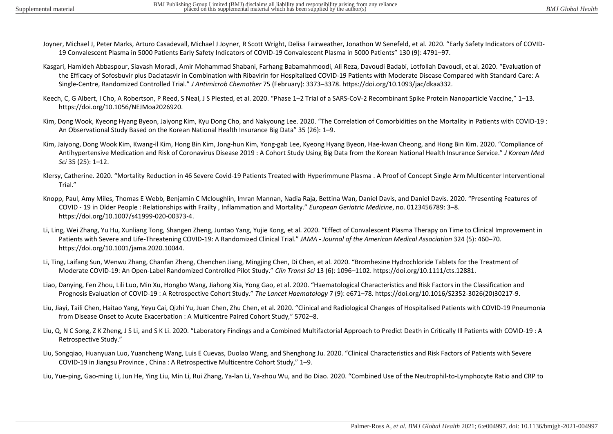- Joyner, Michael J, Peter Marks, Arturo Casadevall, Michael J Joyner, R Scott Wright, Delisa Fairweather, Jonathon W Senefeld, et al. 2020. "Early Safety Indicators of COVID-19 Convalescent Plasma in 5000 Patients Early Safety Indicators of COVID-19 Convalescent Plasma in 5000 Patients" 130 (9): 4791–97.
- Kasgari, Hamideh Abbaspour, Siavash Moradi, Amir Mohammad Shabani, Farhang Babamahmoodi, Ali Reza, Davoudi Badabi, Lotfollah Davoudi, et al. 2020. "Evaluation of the Efficacy of Sofosbuvir plus Daclatasvir in Combination with Ribavirin for Hospitalized COVID-19 Patients with Moderate Disease Compared with Standard Care: A Single-Centre, Randomized Controlled Trial." *J Antimicrob Chemother* 75 (February): 3373–3378. https://doi.org/10.1093/jac/dkaa332.
- Keech, C, G Albert, I Cho, A Robertson, P Reed, S Neal, J S Plested, et al. 2020. "Phase 1–2 Trial of a SARS-CoV-2 Recombinant Spike Protein Nanoparticle Vaccine," 1–13. https://doi.org/10.1056/NEJMoa2026920.
- Kim, Dong Wook, Kyeong Hyang Byeon, Jaiyong Kim, Kyu Dong Cho, and Nakyoung Lee. 2020. "The Correlation of Comorbidities on the Mortality in Patients with COVID-19 : An Observational Study Based on the Korean National Health Insurance Big Data" 35 (26): 1–9.
- Kim, Jaiyong, Dong Wook Kim, Kwang-il Kim, Hong Bin Kim, Jong-hun Kim, Yong-gab Lee, Kyeong Hyang Byeon, Hae-kwan Cheong, and Hong Bin Kim. 2020. "Compliance of Antihypertensive Medication and Risk of Coronavirus Disease 2019 : A Cohort Study Using Big Data from the Korean National Health Insurance Service." *J Korean Med Sci* 35 (25): 1–12.
- Klersy, Catherine. 2020. "Mortality Reduction in 46 Severe Covid-19 Patients Treated with Hyperimmune Plasma . A Proof of Concept Single Arm Multicenter Interventional Trial."
- Knopp, Paul, Amy Miles, Thomas E Webb, Benjamin C Mcloughlin, Imran Mannan, Nadia Raja, Bettina Wan, Daniel Davis, and Daniel Davis. 2020. "Presenting Features of COVID ‑ 19 in Older People : Relationships with Frailty , Inflammation and Mortality." *European Geriatric Medicine*, no. 0123456789: 3–8. https://doi.org/10.1007/s41999-020-00373-4.
- Li, Ling, Wei Zhang, Yu Hu, Xunliang Tong, Shangen Zheng, Juntao Yang, Yujie Kong, et al. 2020. "Effect of Convalescent Plasma Therapy on Time to Clinical Improvement in Patients with Severe and Life-Threatening COVID-19: A Randomized Clinical Trial." *JAMA - Journal of the American Medical Association* 324 (5): 460–70. https://doi.org/10.1001/jama.2020.10044.
- Li, Ting, Laifang Sun, Wenwu Zhang, Chanfan Zheng, Chenchen Jiang, Mingjing Chen, Di Chen, et al. 2020. "Bromhexine Hydrochloride Tablets for the Treatment of Moderate COVID-19: An Open-Label Randomized Controlled Pilot Study." *Clin Transl Sci* 13 (6): 1096–1102. https://doi.org/10.1111/cts.12881.
- Liao, Danying, Fen Zhou, Lili Luo, Min Xu, Hongbo Wang, Jiahong Xia, Yong Gao, et al. 2020. "Haematological Characteristics and Risk Factors in the Classification and Prognosis Evaluation of COVID-19 : A Retrospective Cohort Study." *The Lancet Haematology* 7 (9): e671–78. https://doi.org/10.1016/S2352-3026(20)30217-9.
- Liu, Jiayi, Taili Chen, Haitao Yang, Yeyu Cai, Qizhi Yu, Juan Chen, Zhu Chen, et al. 2020. "Clinical and Radiological Changes of Hospitalised Patients with COVID-19 Pneumonia from Disease Onset to Acute Exacerbation : A Multicentre Paired Cohort Study," 5702–8.
- Liu, Q, N C Song, Z K Zheng, J S Li, and S K Li. 2020. "Laboratory Findings and a Combined Multifactorial Approach to Predict Death in Critically Ill Patients with COVID-19 : A Retrospective Study."
- Liu, Songqiao, Huanyuan Luo, Yuancheng Wang, Luis E Cuevas, Duolao Wang, and Shenghong Ju. 2020. "Clinical Characteristics and Risk Factors of Patients with Severe COVID-19 in Jiangsu Province , China : A Retrospective Multicentre Cohort Study," 1–9.
- Liu, Yue-ping, Gao-ming Li, Jun He, Ying Liu, Min Li, Rui Zhang, Ya-lan Li, Ya-zhou Wu, and Bo Diao. 2020. "Combined Use of the Neutrophil-to-Lymphocyte Ratio and CRP to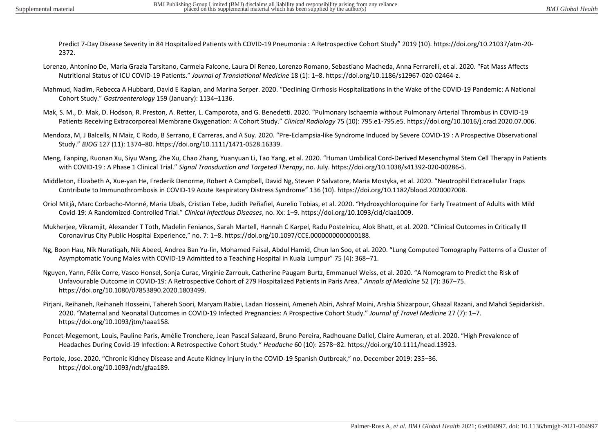Predict 7-Day Disease Severity in 84 Hospitalized Patients with COVID-19 Pneumonia : A Retrospective Cohort Study" 2019 (10). https://doi.org/10.21037/atm-20- 2372.

- Lorenzo, Antonino De, Maria Grazia Tarsitano, Carmela Falcone, Laura Di Renzo, Lorenzo Romano, Sebastiano Macheda, Anna Ferrarelli, et al. 2020. "Fat Mass Affects Nutritional Status of ICU COVID-19 Patients." *Journal of Translational Medicine* 18 (1): 1–8. https://doi.org/10.1186/s12967-020-02464-z.
- Mahmud, Nadim, Rebecca A Hubbard, David E Kaplan, and Marina Serper. 2020. "Declining Cirrhosis Hospitalizations in the Wake of the COVID-19 Pandemic: A National Cohort Study." *Gastroenterology* 159 (January): 1134–1136.
- Mak, S. M., D. Mak, D. Hodson, R. Preston, A. Retter, L. Camporota, and G. Benedetti. 2020. "Pulmonary Ischaemia without Pulmonary Arterial Thrombus in COVID-19 Patients Receiving Extracorporeal Membrane Oxygenation: A Cohort Study." *Clinical Radiology* 75 (10): 795.e1-795.e5. https://doi.org/10.1016/j.crad.2020.07.006.
- Mendoza, M, J Balcells, N Maiz, C Rodo, B Serrano, E Carreras, and A Suy. 2020. "Pre-Eclampsia-like Syndrome Induced by Severe COVID-19 : A Prospective Observational Study." *BJOG* 127 (11): 1374–80. https://doi.org/10.1111/1471-0528.16339.
- Meng, Fanping, Ruonan Xu, Siyu Wang, Zhe Xu, Chao Zhang, Yuanyuan Li, Tao Yang, et al. 2020. "Human Umbilical Cord-Derived Mesenchymal Stem Cell Therapy in Patients with COVID-19 : A Phase 1 Clinical Trial." *Signal Transduction and Targeted Therapy*, no. July. https://doi.org/10.1038/s41392-020-00286-5.
- Middleton, Elizabeth A, Xue-yan He, Frederik Denorme, Robert A Campbell, David Ng, Steven P Salvatore, Maria Mostyka, et al. 2020. "Neutrophil Extracellular Traps Contribute to Immunothrombosis in COVID-19 Acute Respiratory Distress Syndrome" 136 (10). https://doi.org/10.1182/blood.2020007008.
- Oriol Mitjà, Marc Corbacho-Monné, Maria Ubals, Cristian Tebe, Judith Peñafiel, Aurelio Tobias, et al. 2020. "Hydroxychloroquine for Early Treatment of Adults with Mild Covid-19: A Randomized-Controlled Trial." *Clinical Infectious Diseases*, no. Xx: 1–9. https://doi.org/10.1093/cid/ciaa1009.
- Mukherjee, Vikramjit, Alexander T Toth, Madelin Fenianos, Sarah Martell, Hannah C Karpel, Radu Postelnicu, Alok Bhatt, et al. 2020. "Clinical Outcomes in Critically Ill Coronavirus City Public Hospital Experience," no. 7: 1–8. https://doi.org/10.1097/CCE.0000000000000188.
- Ng, Boon Hau, Nik Nuratiqah, Nik Abeed, Andrea Ban Yu-lin, Mohamed Faisal, Abdul Hamid, Chun Ian Soo, et al. 2020. "Lung Computed Tomography Patterns of a Cluster of Asymptomatic Young Males with COVID-19 Admitted to a Teaching Hospital in Kuala Lumpur" 75 (4): 368–71.
- Nguyen, Yann, Félix Corre, Vasco Honsel, Sonja Curac, Virginie Zarrouk, Catherine Paugam Burtz, Emmanuel Weiss, et al. 2020. "A Nomogram to Predict the Risk of Unfavourable Outcome in COVID-19: A Retrospective Cohort of 279 Hospitalized Patients in Paris Area." *Annals of Medicine* 52 (7): 367–75. https://doi.org/10.1080/07853890.2020.1803499.
- Pirjani, Reihaneh, Reihaneh Hosseini, Tahereh Soori, Maryam Rabiei, Ladan Hosseini, Ameneh Abiri, Ashraf Moini, Arshia Shizarpour, Ghazal Razani, and Mahdi Sepidarkish. 2020. "Maternal and Neonatal Outcomes in COVID-19 Infected Pregnancies: A Prospective Cohort Study." *Journal of Travel Medicine* 27 (7): 1–7. https://doi.org/10.1093/jtm/taaa158.
- Poncet-Megemont, Louis, Pauline Paris, Amélie Tronchere, Jean Pascal Salazard, Bruno Pereira, Radhouane Dallel, Claire Aumeran, et al. 2020. "High Prevalence of Headaches During Covid-19 Infection: A Retrospective Cohort Study." *Headache* 60 (10): 2578–82. https://doi.org/10.1111/head.13923.
- Portole, Jose. 2020. "Chronic Kidney Disease and Acute Kidney Injury in the COVID-19 Spanish Outbreak," no. December 2019: 235–36. https://doi.org/10.1093/ndt/gfaa189.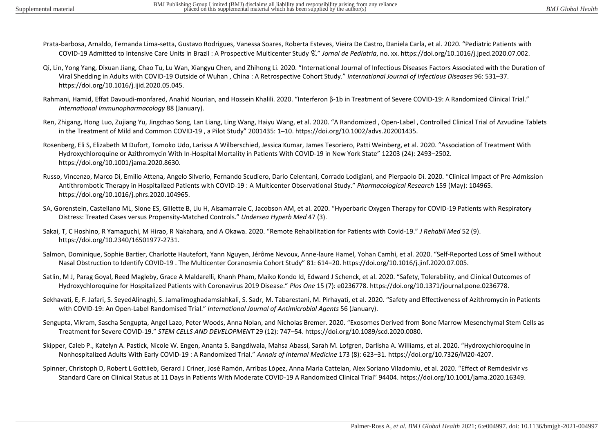- Prata-barbosa, Arnaldo, Fernanda Lima-setta, Gustavo Rodrigues, Vanessa Soares, Roberta Esteves, Vieira De Castro, Daniela Carla, et al. 2020. "Pediatric Patients with COVID-19 Admitted to Intensive Care Units in Brazil : A Prospective Multicenter Study ଝ." *Jornal de Pediatria*, no. xx. https://doi.org/10.1016/j.jped.2020.07.002.
- Qi, Lin, Yong Yang, Dixuan Jiang, Chao Tu, Lu Wan, Xiangyu Chen, and Zhihong Li. 2020. "International Journal of Infectious Diseases Factors Associated with the Duration of Viral Shedding in Adults with COVID-19 Outside of Wuhan , China : A Retrospective Cohort Study." *International Journal of Infectious Diseases* 96: 531–37. https://doi.org/10.1016/j.ijid.2020.05.045.
- Rahmani, Hamid, Effat Davoudi-monfared, Anahid Nourian, and Hossein Khalili. 2020. "Interferon β-1b in Treatment of Severe COVID-19: A Randomized Clinical Trial." *International Immunopharmacology* 88 (January).
- Ren, Zhigang, Hong Luo, Zujiang Yu, Jingchao Song, Lan Liang, Ling Wang, Haiyu Wang, et al. 2020. "A Randomized , Open-Label , Controlled Clinical Trial of Azvudine Tablets in the Treatment of Mild and Common COVID-19 , a Pilot Study" 2001435: 1–10. https://doi.org/10.1002/advs.202001435.
- Rosenberg, Eli S, Elizabeth M Dufort, Tomoko Udo, Larissa A Wilberschied, Jessica Kumar, James Tesoriero, Patti Weinberg, et al. 2020. "Association of Treatment With Hydroxychloroquine or Azithromycin With In-Hospital Mortality in Patients With COVID-19 in New York State" 12203 (24): 2493–2502. https://doi.org/10.1001/jama.2020.8630.
- Russo, Vincenzo, Marco Di, Emilio Attena, Angelo Silverio, Fernando Scudiero, Dario Celentani, Corrado Lodigiani, and Pierpaolo Di. 2020. "Clinical Impact of Pre-Admission Antithrombotic Therapy in Hospitalized Patients with COVID-19 : A Multicenter Observational Study." *Pharmacological Research* 159 (May): 104965. https://doi.org/10.1016/j.phrs.2020.104965.
- SA, Gorenstein, Castellano ML, Slone ES, Gillette B, Liu H, Alsamarraie C, Jacobson AM, et al. 2020. "Hyperbaric Oxygen Therapy for COVID-19 Patients with Respiratory Distress: Treated Cases versus Propensity-Matched Controls." *Undersea Hyperb Med* 47 (3).
- Sakai, T, C Hoshino, R Yamaguchi, M Hirao, R Nakahara, and A Okawa. 2020. "Remote Rehabilitation for Patients with Covid-19." *J Rehabil Med* 52 (9). https://doi.org/10.2340/16501977-2731.
- Salmon, Dominique, Sophie Bartier, Charlotte Hautefort, Yann Nguyen, Jérôme Nevoux, Anne-laure Hamel, Yohan Camhi, et al. 2020. "Self-Reported Loss of Smell without Nasal Obstruction to Identify COVID-19 . The Multicenter Coranosmia Cohort Study" 81: 614–20. https://doi.org/10.1016/j.jinf.2020.07.005.
- Satlin, M J, Parag Goyal, Reed Magleby, Grace A Maldarelli, Khanh Pham, Maiko Kondo Id, Edward J Schenck, et al. 2020. "Safety, Tolerability, and Clinical Outcomes of Hydroxychloroquine for Hospitalized Patients with Coronavirus 2019 Disease." *Plos One* 15 (7): e0236778. https://doi.org/10.1371/journal.pone.0236778.
- Sekhavati, E, F. Jafari, S. SeyedAlinaghi, S. Jamalimoghadamsiahkali, S. Sadr, M. Tabarestani, M. Pirhayati, et al. 2020. "Safety and Effectiveness of Azithromycin in Patients with COVID-19: An Open-Label Randomised Trial." *International Journal of Antimicrobial Agents* 56 (January).
- Sengupta, Vikram, Sascha Sengupta, Angel Lazo, Peter Woods, Anna Nolan, and Nicholas Bremer. 2020. "Exosomes Derived from Bone Marrow Mesenchymal Stem Cells as Treatment for Severe COVID-19." *STEM CELLS AND DEVELOPMENT* 29 (12): 747–54. https://doi.org/10.1089/scd.2020.0080.
- Skipper, Caleb P., Katelyn A. Pastick, Nicole W. Engen, Ananta S. Bangdiwala, Mahsa Abassi, Sarah M. Lofgren, Darlisha A. Williams, et al. 2020. "Hydroxychloroquine in Nonhospitalized Adults With Early COVID-19 : A Randomized Trial." *Annals of Internal Medicine* 173 (8): 623–31. https://doi.org/10.7326/M20-4207.
- Spinner, Christoph D, Robert L Gottlieb, Gerard J Criner, José Ramón, Arribas López, Anna Maria Cattelan, Alex Soriano Viladomiu, et al. 2020. "Effect of Remdesivir vs Standard Care on Clinical Status at 11 Days in Patients With Moderate COVID-19 A Randomized Clinical Trial" 94404. https://doi.org/10.1001/jama.2020.16349.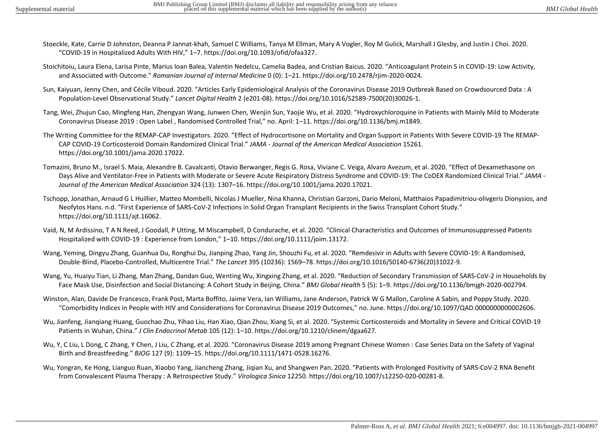- Stoeckle, Kate, Carrie D Johnston, Deanna P Jannat-khah, Samuel C Williams, Tanya M Ellman, Mary A Vogler, Roy M Gulick, Marshall J Glesby, and Justin J Choi. 2020. "COVID-19 in Hospitalized Adults With HIV," 1–7. https://doi.org/10.1093/ofid/ofaa327.
- Stoichitoiu, Laura Elena, Larisa Pinte, Marius Ioan Balea, Valentin Nedelcu, Camelia Badea, and Cristian Baicus. 2020. "Anticoagulant Protein S in COVID-19: Low Activity, and Associated with Outcome." *Romanian Journal of Internal Medicine* 0 (0): 1–21. https://doi.org/10.2478/rjim-2020-0024.
- Sun, Kaiyuan, Jenny Chen, and Cécile Viboud. 2020. "Articles Early Epidemiological Analysis of the Coronavirus Disease 2019 Outbreak Based on Crowdsourced Data : A Population-Level Observational Study." *Lancet Digital Health* 2 (e201-08). https://doi.org/10.1016/S2589-7500(20)30026-1.
- Tang, Wei, Zhujun Cao, Mingfeng Han, Zhengyan Wang, Junwen Chen, Wenjin Sun, Yaojie Wu, et al. 2020. "Hydroxychloroquine in Patients with Mainly Mild to Moderate Coronavirus Disease 2019 : Open Label , Randomised Controlled Trial," no. April: 1–11. https://doi.org/10.1136/bmj.m1849.
- The Writing Committee for the REMAP-CAP Investigators. 2020. "Effect of Hydrocortisone on Mortality and Organ Support in Patients With Severe COVID-19 The REMAP-CAP COVID-19 Corticosteroid Domain Randomized Clinical Trial." *JAMA - Journal of the American Medical Association* 15261. https://doi.org/10.1001/jama.2020.17022.
- Tomazini, Bruno M., Israel S. Maia, Alexandre B. Cavalcanti, Otavio Berwanger, Regis G. Rosa, Viviane C. Veiga, Alvaro Avezum, et al. 2020. "Effect of Dexamethasone on Days Alive and Ventilator-Free in Patients with Moderate or Severe Acute Respiratory Distress Syndrome and COVID-19: The CoDEX Randomized Clinical Trial." *JAMA - Journal of the American Medical Association* 324 (13): 1307–16. https://doi.org/10.1001/jama.2020.17021.
- Tschopp, Jonathan, Arnaud G L Huillier, Matteo Mombelli, Nicolas J Mueller, Nina Khanna, Christian Garzoni, Dario Meloni, Matthaios Papadimitriou-olivgeris Dionysios, and Neofytos Hans. n.d. "First Experience of SARS-CoV-2 Infections in Solid Organ Transplant Recipients in the Swiss Transplant Cohort Study." https://doi.org/10.1111/ajt.16062.
- Vaid, N, M Ardissino, T A N Reed, J Goodall, P Utting, M Miscampbell, D Condurache, et al. 2020. "Clinical Characteristics and Outcomes of Immunosuppressed Patients Hospitalized with COVID-19 : Experience from London," 1–10. https://doi.org/10.1111/joim.13172.
- Wang, Yeming, Dingyu Zhang, Guanhua Du, Ronghui Du, Jianping Zhao, Yang Jin, Shouzhi Fu, et al. 2020. "Remdesivir in Adults with Severe COVID-19: A Randomised, Double-Blind, Placebo-Controlled, Multicentre Trial." *The Lancet* 395 (10236): 1569–78. https://doi.org/10.1016/S0140-6736(20)31022-9.
- Wang, Yu, Huaiyu Tian, Li Zhang, Man Zhang, Dandan Guo, Wenting Wu, Xingxing Zhang, et al. 2020. "Reduction of Secondary Transmission of SARS-CoV-2 in Households by Face Mask Use, Disinfection and Social Distancing: A Cohort Study in Beijing, China." *BMJ Global Health* 5 (5): 1–9. https://doi.org/10.1136/bmjgh-2020-002794.
- Winston, Alan, Davide De Francesco, Frank Post, Marta Boffito, Jaime Vera, Ian Williams, Jane Anderson, Patrick W G Mallon, Caroline A Sabin, and Poppy Study. 2020. "Comorbidity Indices in People with HIV and Considerations for Coronavirus Disease 2019 Outcomes," no. June. https://doi.org/10.1097/QAD.0000000000002606.
- Wu, Jianfeng, Jianqiang Huang, Guochao Zhu, Yihao Liu, Han Xiao, Qian Zhou, Xiang Si, et al. 2020. "Systemic Corticosteroids and Mortality in Severe and Critical COVID-19 Patients in Wuhan, China." *J Clin Endocrinol Metab* 105 (12): 1–10. https://doi.org/10.1210/clinem/dgaa627.
- Wu, Y, C Liu, L Dong, C Zhang, Y Chen, J Liu, C Zhang, et al. 2020. "Coronavirus Disease 2019 among Pregnant Chinese Women : Case Series Data on the Safety of Vaginal Birth and Breastfeeding." *BJOG* 127 (9): 1109–15. https://doi.org/10.1111/1471-0528.16276.
- Wu, Yongran, Ke Hong, Lianguo Ruan, Xiaobo Yang, Jiancheng Zhang, Jiqian Xu, and Shangwen Pan. 2020. "Patients with Prolonged Positivity of SARS-CoV-2 RNA Benefit from Convalescent Plasma Therapy : A Retrospective Study." *Virologica Sinica* 12250. https://doi.org/10.1007/s12250-020-00281-8.